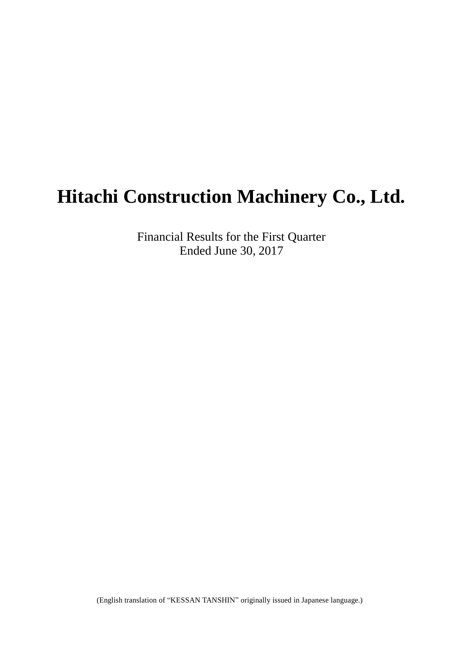# **Hitachi Construction Machinery Co., Ltd.**

Financial Results for the First Quarter Ended June 30, 2017

(English translation of "KESSAN TANSHIN" originally issued in Japanese language.)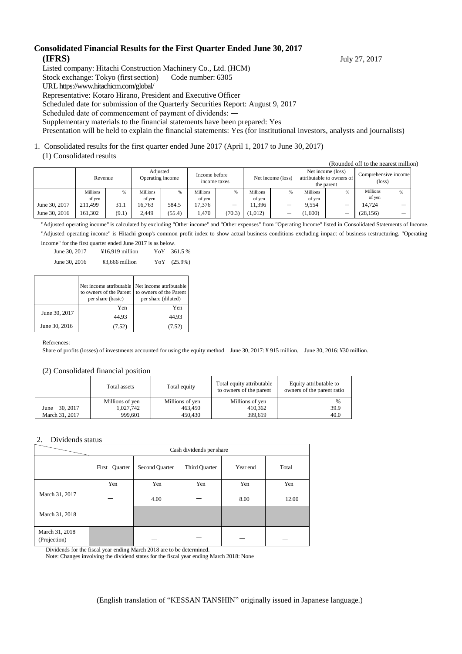#### **Consolidated Financial Results for the First Quarter Ended June 30, 2017 (IFRS)** July 27, 2017

Listed company: Hitachi Construction Machinery Co., Ltd. (HCM)

Stock exchange: Tokyo (first section) Code number: 6305

URL https://www.hitachicm.com/global/

Representative: Kotaro Hirano, President and Executive Officer

Scheduled date for submission of the Quarterly Securities Report: August 9, 2017

Scheduled date of commencement of payment of dividends: ―

Supplementary materials to the financial statements have been prepared: Yes

Presentation will be held to explain the financial statements: Yes (for institutional investors, analysts and journalists)

## 1. Consolidated results for the first quarter ended June 2017 (April 1, 2017 to June 30, 2017)

#### (1) Consolidated results

|  | (Rounded off to the nearest million) |
|--|--------------------------------------|
|  |                                      |

|               | Revenue                   |       | Adjusted<br>Operating income |        | Income before<br>income taxes |        | Net income (loss)  |   | Net income (loss)<br>attributable to owners of<br>the parent |   | Comprehensive income<br>(loss) |  |
|---------------|---------------------------|-------|------------------------------|--------|-------------------------------|--------|--------------------|---|--------------------------------------------------------------|---|--------------------------------|--|
|               | <b>Millions</b><br>of ven |       | <b>Millions</b><br>of ven    | %      | <b>Millions</b><br>of ven     | %      | Millions<br>of ven |   | Millions<br>of yen                                           | % | Millions<br>of ven             |  |
| June 30, 2017 | 211.499                   | 31.1  | 16.763                       | 584.5  | 17.376                        | -      | 11.396             | — | 9.554                                                        | - | 14.724                         |  |
| June 30, 2016 | 161.302                   | (9.1) | 2.449                        | (55.4) | .470                          | (70.3) | 1.012)             | – | 1,600                                                        | – | (28, 156)                      |  |

"Adjusted operating income" is calculated by excluding "Other income" and "Other expenses" from "Operating Income" listed in Consolidated Statements of Income. "Adjusted operating income" is Hitachi group's common profit index to show actual business conditions excluding impact of business restructuring. "Operating income" for the first quarter ended June 2017 is as below.

|               | one for the first quarter ended june $2017$ is as below. |            |
|---------------|----------------------------------------------------------|------------|
| June 30, 2017 | $¥16,919$ million                                        | YoY 361.5% |

| June 30, 2016 | ¥3,666 million | YoY (25.9%) |
|---------------|----------------|-------------|

|               | to owners of the Parent<br>per share (basic) | Net income attributable   Net income attributable<br>to owners of the Parent<br>per share (diluted) |
|---------------|----------------------------------------------|-----------------------------------------------------------------------------------------------------|
|               | Yen                                          | Yen                                                                                                 |
| June 30, 2017 | 44.93                                        | 44.93                                                                                               |
| June 30, 2016 | (7.52)                                       | (7.52)                                                                                              |

References:

Share of profits (losses) of investments accounted for using the equity method June 30, 2017: ¥ 915 million, June 30, 2016: ¥30 million.

#### (2) Consolidated financial position

|                | Total assets    | Total equity    | Total equity attributable<br>to owners of the parent | Equity attributable to<br>owners of the parent ratio |  |
|----------------|-----------------|-----------------|------------------------------------------------------|------------------------------------------------------|--|
|                | Millions of yen | Millions of yen | Millions of yen                                      | $\frac{0}{0}$                                        |  |
| June 30, 2017  | 1,027,742       | 463.450         | 410.362                                              | 39.9                                                 |  |
| March 31, 2017 | 999.601         | 450.430         | 399.619                                              | 40.0                                                 |  |

#### 2. Dividends status

|                                | Cash dividends per share |                |               |          |       |  |
|--------------------------------|--------------------------|----------------|---------------|----------|-------|--|
|                                | Quarter<br>First         | Second Quarter | Third Quarter | Year end | Total |  |
|                                | Yen                      | Yen            | Yen           | Yen      | Yen   |  |
| March 31, 2017                 |                          | 4.00           |               | 8.00     | 12.00 |  |
| March 31, 2018                 |                          |                |               |          |       |  |
| March 31, 2018<br>(Projection) |                          |                |               |          |       |  |

Dividends for the fiscal year ending March 2018 are to be determined.

Note: Changes involving the dividend states for the fiscal year ending March 2018: None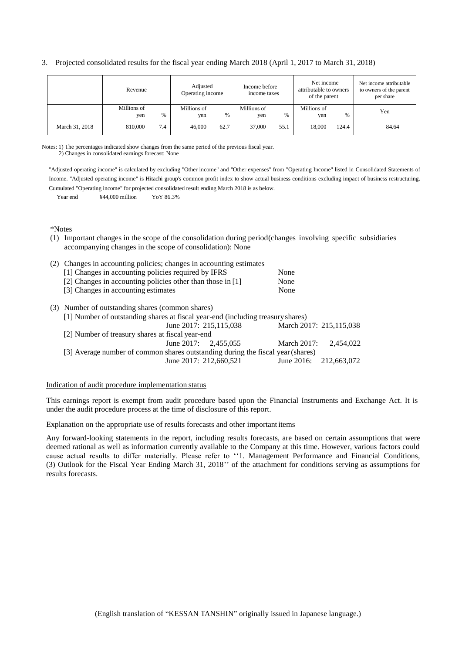|  | 3. Projected consolidated results for the fiscal year ending March 2018 (April 1, 2017 to March 31, 2018) |  |  |  |  |  |
|--|-----------------------------------------------------------------------------------------------------------|--|--|--|--|--|
|--|-----------------------------------------------------------------------------------------------------------|--|--|--|--|--|

|                | Revenue            |     | Adjusted<br>Operating income |      | Income before<br>income taxes |      | Net income<br>attributable to owners<br>of the parent |       | Net income attributable<br>to owners of the parent<br>per share |
|----------------|--------------------|-----|------------------------------|------|-------------------------------|------|-------------------------------------------------------|-------|-----------------------------------------------------------------|
|                | Millions of<br>yen | %   | Millions of<br>yen           | $\%$ | Millions of<br>yen            | %    | Millions of<br>yen                                    | %     | Yen                                                             |
| March 31, 2018 | 810,000            | 7.4 | 46,000                       | 62.7 | 37,000                        | 55.1 | 18,000                                                | 124.4 | 84.64                                                           |

Notes: 1) The percentages indicated show changes from the same period of the previous fiscal year. 2) Changes in consolidated earnings forecast: None

"Adjusted operating income" is calculated by excluding "Other income" and "Other expenses" from "Operating Income" listed in Consolidated Statements of Income. "Adjusted operating income" is Hitachi group's common profit index to show actual business conditions excluding impact of business restructuring. Cumulated "Operating income" for projected consolidated result ending March 2018 is as below.

Year end  $\text{\textdegree{444,000}}$  million YoY 86.3%

\*Notes

(1) Important changes in the scope of the consolidation during period(changes involving specific subsidiaries accompanying changes in the scope of consolidation): None

| (2) Changes in accounting policies; changes in accounting estimates             |                         |           |
|---------------------------------------------------------------------------------|-------------------------|-----------|
| [1] Changes in accounting policies required by IFRS                             | None                    |           |
| [2] Changes in accounting policies other than those in [1]                      | None                    |           |
| [3] Changes in accounting estimates                                             | None                    |           |
| (3) Number of outstanding shares (common shares)                                |                         |           |
| [1] Number of outstanding shares at fiscal year-end (including treasury shares) |                         |           |
| June 2017: 215,115,038                                                          | March 2017: 215,115,038 |           |
| [2] Number of treasury shares at fiscal year-end                                |                         |           |
| June 2017: $2,455,055$                                                          | <b>March 2017:</b>      | 2.454,022 |
| [3] Average number of common shares outstanding during the fiscal year (shares) |                         |           |
| June 2017: 212,660,521                                                          | June 2016: 212,663,072  |           |

#### Indication of audit procedure implementation status

This earnings report is exempt from audit procedure based upon the Financial Instruments and Exchange Act. It is under the audit procedure process at the time of disclosure of this report.

#### Explanation on the appropriate use of results forecasts and other important items

Any forward-looking statements in the report, including results forecasts, are based on certain assumptions that were deemed rational as well as information currently available to the Company at this time. However, various factors could cause actual results to differ materially. Please refer to ''1. Management Performance and Financial Conditions, (3) Outlook for the Fiscal Year Ending March 31, 2018'' of the attachment for conditions serving as assumptions for results forecasts.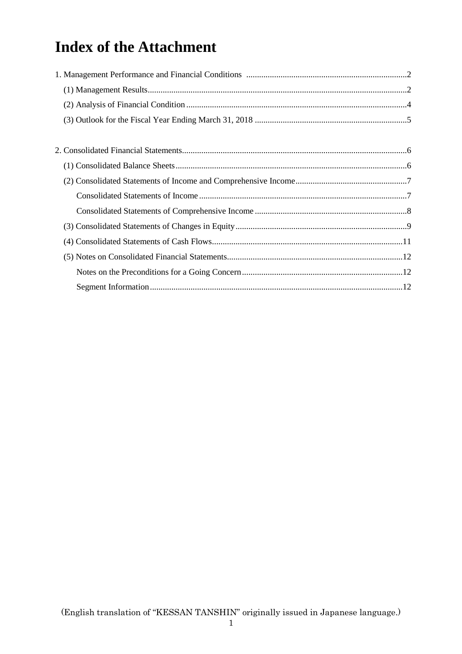# **Index of the Attachment**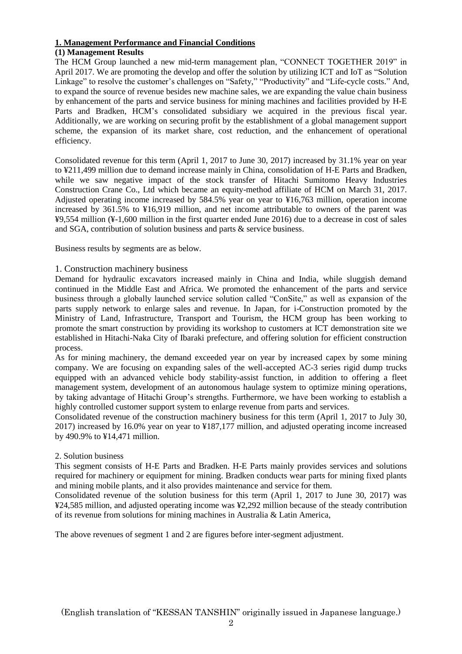#### **1. Management Performance and Financial Conditions**

#### **(1) Management Results**

The HCM Group launched a new mid-term management plan, "CONNECT TOGETHER 2019" in April 2017. We are promoting the develop and offer the solution by utilizing ICT and IoT as "Solution Linkage" to resolve the customer's challenges on "Safety," "Productivity" and "Life-cycle costs." And, to expand the source of revenue besides new machine sales, we are expanding the value chain business by enhancement of the parts and service business for mining machines and facilities provided by H-E Parts and Bradken, HCM's consolidated subsidiary we acquired in the previous fiscal year. Additionally, we are working on securing profit by the establishment of a global management support scheme, the expansion of its market share, cost reduction, and the enhancement of operational efficiency.

Consolidated revenue for this term (April 1, 2017 to June 30, 2017) increased by 31.1% year on year to ¥211,499 million due to demand increase mainly in China, consolidation of H-E Parts and Bradken, while we saw negative impact of the stock transfer of Hitachi Sumitomo Heavy Industries Construction Crane Co., Ltd which became an equity-method affiliate of HCM on March 31, 2017. Adjusted operating income increased by 584.5% year on year to ¥16,763 million, operation income increased by 361.5% to ¥16,919 million, and net income attributable to owners of the parent was ¥9,554 million (¥-1,600 million in the first quarter ended June 2016) due to a decrease in cost of sales and SGA, contribution of solution business and parts & service business.

Business results by segments are as below.

#### 1. Construction machinery business

Demand for hydraulic excavators increased mainly in China and India, while sluggish demand continued in the Middle East and Africa. We promoted the enhancement of the parts and service business through a globally launched service solution called "ConSite," as well as expansion of the parts supply network to enlarge sales and revenue. In Japan, for i-Construction promoted by the Ministry of Land, Infrastructure, Transport and Tourism, the HCM group has been working to promote the smart construction by providing its workshop to customers at ICT demonstration site we established in Hitachi-Naka City of Ibaraki prefecture, and offering solution for efficient construction process.

As for mining machinery, the demand exceeded year on year by increased capex by some mining company. We are focusing on expanding sales of the well-accepted AC-3 series rigid dump trucks equipped with an advanced vehicle body stability-assist function, in addition to offering a fleet management system, development of an autonomous haulage system to optimize mining operations, by taking advantage of Hitachi Group's strengths. Furthermore, we have been working to establish a highly controlled customer support system to enlarge revenue from parts and services.

Consolidated revenue of the construction machinery business for this term (April 1, 2017 to July 30, 2017) increased by 16.0% year on year to ¥187,177 million, and adjusted operating income increased by 490.9% to ¥14,471 million.

#### 2. Solution business

This segment consists of H-E Parts and Bradken. H-E Parts mainly provides services and solutions required for machinery or equipment for mining. Bradken conducts wear parts for mining fixed plants and mining mobile plants, and it also provides maintenance and service for them.

Consolidated revenue of the solution business for this term (April 1, 2017 to June 30, 2017) was ¥24,585 million, and adjusted operating income was ¥2,292 million because of the steady contribution of its revenue from solutions for mining machines in Australia & Latin America,

The above revenues of segment 1 and 2 are figures before inter-segment adjustment.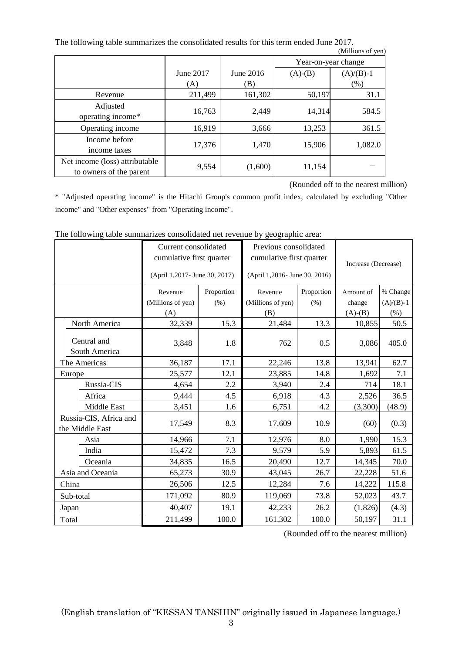The following table summarizes the consolidated results for this term ended June 2017.

|                                                           |           |           |                     | (Millions of yen) |
|-----------------------------------------------------------|-----------|-----------|---------------------|-------------------|
|                                                           |           |           | Year-on-year change |                   |
|                                                           | June 2017 | June 2016 | $(A)-(B)$           | $(A)/(B)-1$       |
|                                                           | (A)       | (B)       |                     | (% )              |
| Revenue                                                   | 211,499   | 161,302   | 50,197              | 31.1              |
| Adjusted<br>operating income*                             | 16,763    | 2,449     | 14,314              | 584.5             |
| Operating income                                          | 16,919    | 3,666     | 13,253              | 361.5             |
| Income before<br>income taxes                             | 17,376    | 1,470     | 15,906              | 1,082.0           |
| Net income (loss) attributable<br>to owners of the parent | 9,554     | (1,600)   | 11,154              |                   |

(Rounded off to the nearest million)

\* "Adjusted operating income" is the Hitachi Group's common profit index, calculated by excluding "Other income" and "Other expenses" from "Operating income".

|                                           |                              | Current consolidated<br>cumulative first quarter |            | Previous consolidated<br>cumulative first quarter |            | Increase (Decrease) |             |
|-------------------------------------------|------------------------------|--------------------------------------------------|------------|---------------------------------------------------|------------|---------------------|-------------|
|                                           |                              | (April 1,2017- June 30, 2017)                    |            | (April 1,2016- June 30, 2016)                     |            |                     |             |
|                                           |                              | Revenue                                          | Proportion | Revenue                                           | Proportion | Amount of           | % Change    |
|                                           |                              | (Millions of yen)                                | (% )       | (Millions of yen)                                 | (% )       | change              | $(A)/(B)-1$ |
|                                           |                              | (A)                                              |            | (B)                                               |            | $(A)-(B)$           | $(\%)$      |
|                                           | North America                | 32,339                                           | 15.3       | 21,484                                            | 13.3       | 10,855              | 50.5        |
|                                           | Central and<br>South America | 3,848                                            | 1.8        | 762                                               | 0.5        | 3,086               | 405.0       |
|                                           | The Americas                 | 36,187                                           | 17.1       | 22,246                                            | 13.8       | 13,941              | 62.7        |
|                                           | Europe                       | 25,577                                           | 12.1       | 23,885                                            | 14.8       | 1,692               | 7.1         |
|                                           | Russia-CIS                   | 4,654                                            | 2.2        | 3,940                                             | 2.4        | 714                 | 18.1        |
|                                           | Africa                       | 9,444                                            | 4.5        | 6,918                                             | 4.3        | 2,526               | 36.5        |
|                                           | Middle East                  | 3,451                                            | 1.6        | 6,751                                             | 4.2        | (3,300)             | (48.9)      |
| Russia-CIS, Africa and<br>the Middle East |                              | 17,549                                           | 8.3        | 17,609                                            | 10.9       | (60)                | (0.3)       |
|                                           | Asia                         | 14,966                                           | 7.1        | 12,976                                            | 8.0        | 1,990               | 15.3        |
|                                           | India                        | 15,472                                           | 7.3        | 9,579                                             | 5.9        | 5,893               | 61.5        |
|                                           | Oceania                      | 34,835                                           | 16.5       | 20,490                                            | 12.7       | 14,345              | 70.0        |
|                                           | Asia and Oceania             | 65,273                                           | 30.9       | 43,045                                            | 26.7       | 22,228              | 51.6        |
|                                           | China                        | 26,506                                           | 12.5       | 12,284                                            | 7.6        | 14,222              | 115.8       |
|                                           | Sub-total                    | 171,092                                          | 80.9       | 119,069                                           | 73.8       | 52,023              | 43.7        |
|                                           | Japan                        | 40,407                                           | 19.1       | 42,233                                            | 26.2       | (1,826)             | (4.3)       |
|                                           | Total                        | 211,499                                          | 100.0      | 161,302                                           | 100.0      | 50,197              | 31.1        |

The following table summarizes consolidated net revenue by geographic area:

(Rounded off to the nearest million)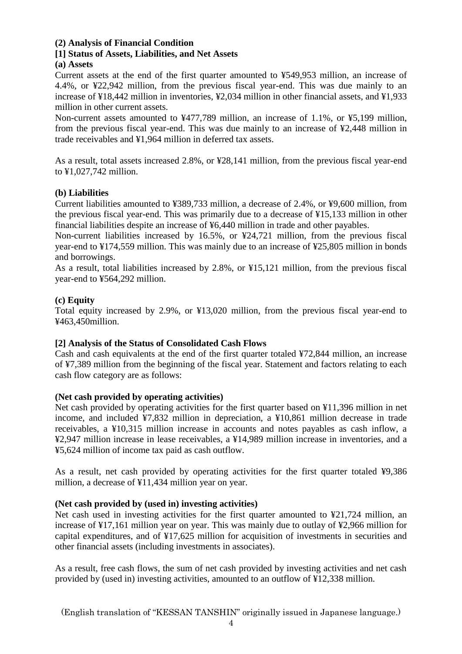#### **(2) Analysis of Financial Condition**

#### **[1] Status of Assets, Liabilities, and Net Assets**

#### **(a) Assets**

Current assets at the end of the first quarter amounted to ¥549,953 million, an increase of 4.4%, or ¥22,942 million, from the previous fiscal year-end. This was due mainly to an increase of ¥18,442 million in inventories, ¥2,034 million in other financial assets, and ¥1,933 million in other current assets.

Non-current assets amounted to ¥477,789 million, an increase of 1.1%, or ¥5,199 million, from the previous fiscal year-end. This was due mainly to an increase of ¥2,448 million in trade receivables and ¥1,964 million in deferred tax assets.

As a result, total assets increased 2.8%, or ¥28,141 million, from the previous fiscal year-end to ¥1,027,742 million.

#### **(b) Liabilities**

Current liabilities amounted to ¥389,733 million, a decrease of 2.4%, or ¥9,600 million, from the previous fiscal year-end. This was primarily due to a decrease of ¥15,133 million in other financial liabilities despite an increase of ¥6,440 million in trade and other payables.

Non-current liabilities increased by 16.5%, or ¥24,721 million, from the previous fiscal year-end to ¥174,559 million. This was mainly due to an increase of ¥25,805 million in bonds and borrowings.

As a result, total liabilities increased by 2.8%, or ¥15,121 million, from the previous fiscal year-end to ¥564,292 million.

#### **(c) Equity**

Total equity increased by 2.9%, or ¥13,020 million, from the previous fiscal year-end to ¥463,450million.

#### **[2] Analysis of the Status of Consolidated Cash Flows**

Cash and cash equivalents at the end of the first quarter totaled ¥72,844 million, an increase of ¥7,389 million from the beginning of the fiscal year. Statement and factors relating to each cash flow category are as follows:

### **(Net cash provided by operating activities)**

Net cash provided by operating activities for the first quarter based on ¥11,396 million in net income, and included ¥7,832 million in depreciation, a ¥10,861 million decrease in trade receivables, a ¥10,315 million increase in accounts and notes payables as cash inflow, a ¥2,947 million increase in lease receivables, a ¥14,989 million increase in inventories, and a ¥5,624 million of income tax paid as cash outflow.

As a result, net cash provided by operating activities for the first quarter totaled ¥9,386 million, a decrease of ¥11,434 million year on year.

### **(Net cash provided by (used in) investing activities)**

Net cash used in investing activities for the first quarter amounted to ¥21,724 million, an increase of ¥17,161 million year on year. This was mainly due to outlay of ¥2,966 million for capital expenditures, and of ¥17,625 million for acquisition of investments in securities and other financial assets (including investments in associates).

As a result, free cash flows, the sum of net cash provided by investing activities and net cash provided by (used in) investing activities, amounted to an outflow of ¥12,338 million.

(English translation of "KESSAN TANSHIN" originally issued in Japanese language.)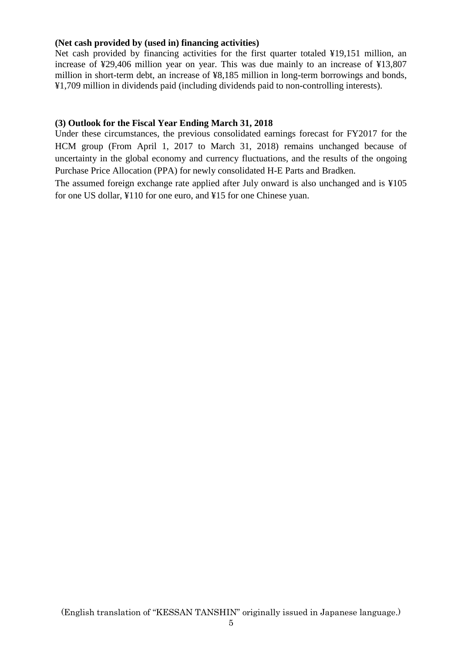#### **(Net cash provided by (used in) financing activities)**

Net cash provided by financing activities for the first quarter totaled ¥19,151 million, an increase of ¥29,406 million year on year. This was due mainly to an increase of ¥13,807 million in short-term debt, an increase of ¥8,185 million in long-term borrowings and bonds, ¥1,709 million in dividends paid (including dividends paid to non-controlling interests).

#### **(3) Outlook for the Fiscal Year Ending March 31, 2018**

Under these circumstances, the previous consolidated earnings forecast for FY2017 for the HCM group (From April 1, 2017 to March 31, 2018) remains unchanged because of uncertainty in the global economy and currency fluctuations, and the results of the ongoing Purchase Price Allocation (PPA) for newly consolidated H-E Parts and Bradken.

The assumed foreign exchange rate applied after July onward is also unchanged and is ¥105 for one US dollar, ¥110 for one euro, and ¥15 for one Chinese yuan.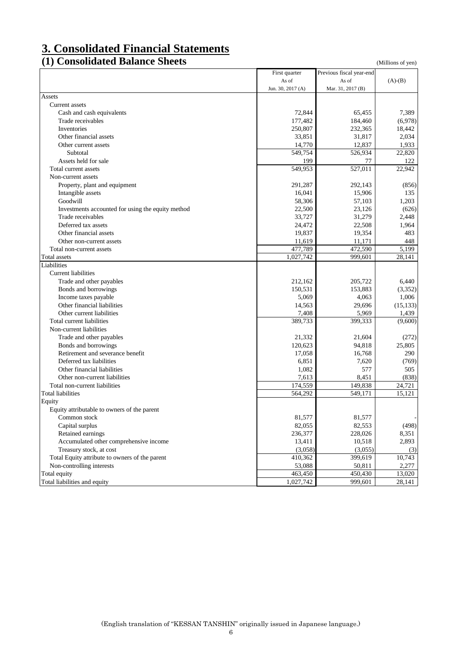## **3. Consolidated Financial Statements**

### **(1) Consolidated Balance Sheets** (Millions of yen)

|                                                   | First quarter     | Previous fiscal year-end |           |
|---------------------------------------------------|-------------------|--------------------------|-----------|
|                                                   | As of             | As of                    | $(A)-(B)$ |
|                                                   | Jun. 30, 2017 (A) | Mar. 31, 2017 (B)        |           |
| Assets                                            |                   |                          |           |
| Current assets                                    |                   |                          |           |
| Cash and cash equivalents                         | 72,844            | 65,455                   | 7,389     |
| Trade receivables                                 | 177,482           | 184,460                  | (6,978)   |
| Inventories                                       | 250,807           | 232,365                  | 18,442    |
| Other financial assets                            | 33,851            | 31,817                   | 2,034     |
| Other current assets                              | 14,770            | 12,837                   | 1,933     |
| Subtotal                                          | 549,754           | 526,934                  | 22,820    |
| Assets held for sale                              | 199               | 77                       | 122       |
| Total current assets                              | 549,953           | 527,011                  | 22,942    |
| Non-current assets                                |                   |                          |           |
| Property, plant and equipment                     | 291,287           | 292,143                  | (856)     |
| Intangible assets                                 | 16,041            | 15,906                   | 135       |
| Goodwill                                          | 58,306            | 57,103                   | 1,203     |
| Investments accounted for using the equity method | 22,500            | 23,126                   | (626)     |
| Trade receivables                                 | 33,727            | 31,279                   | 2,448     |
| Deferred tax assets                               | 24,472            | 22,508                   | 1,964     |
| Other financial assets                            | 19,837            | 19,354                   | 483       |
| Other non-current assets                          | 11,619            | 11,171                   | 448       |
| Total non-current assets                          | 477,789           | 472,590                  | 5,199     |
| Total assets                                      | 1,027,742         | 999,601                  | 28,141    |
| Liabilities                                       |                   |                          |           |
| Current liabilities                               |                   |                          |           |
| Trade and other payables                          | 212,162           | 205,722                  | 6,440     |
| Bonds and borrowings                              | 150,531           | 153,883                  | (3,352)   |
| Income taxes payable                              | 5,069             | 4,063                    | 1,006     |
| Other financial liabilities                       | 14,563            | 29,696                   | (15, 133) |
| Other current liabilities                         |                   |                          |           |
| Total current liabilities                         | 7,408<br>389,733  | 5,969<br>399,333         | 1,439     |
|                                                   |                   |                          | (9,600)   |
| Non-current liabilities                           |                   |                          |           |
| Trade and other payables                          | 21,332            | 21,604                   | (272)     |
| Bonds and borrowings                              | 120,623           | 94,818                   | 25,805    |
| Retirement and severance benefit                  | 17,058            | 16,768                   | 290       |
| Deferred tax liabilities                          | 6,851             | 7,620                    | (769)     |
| Other financial liabilities                       | 1,082             | 577                      | 505       |
| Other non-current liabilities                     | 7,613             | 8,451                    | (838)     |
| Total non-current liabilities                     | 174,559           | 149,838                  | 24,721    |
| <b>Total liabilities</b>                          | 564,292           | 549,171                  | 15,121    |
| Equity                                            |                   |                          |           |
| Equity attributable to owners of the parent       |                   |                          |           |
| Common stock                                      | 81,577            | 81,577                   |           |
| Capital surplus                                   | 82,055            | 82,553                   | (498)     |
| Retained earnings                                 | 236,377           | 228,026                  | 8,351     |
| Accumulated other comprehensive income            | 13,411            | 10,518                   | 2,893     |
| Treasury stock, at cost                           | (3,058)           | (3,055)                  | (3)       |
| Total Equity attribute to owners of the parent    | 410,362           | 399,619                  | 10,743    |
| Non-controlling interests                         | 53,088            | 50,811                   | 2,277     |
| Total equity                                      | 463,450           | 450,430                  | 13,020    |
| Total liabilities and equity                      | 1,027,742         | 999,601                  | 28,141    |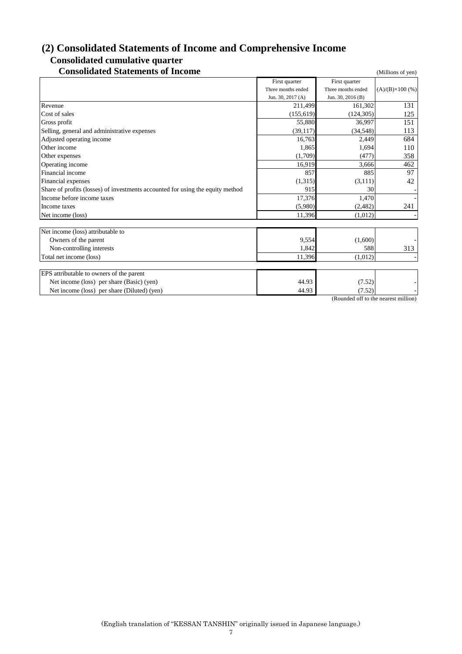## **(2) Consolidated Statements of Income and Comprehensive Income Consolidated cumulative quarter**

## **Consolidated Statements of Income** (Millions of yen)

|                                                                                | First quarter      | First quarter      |                         |
|--------------------------------------------------------------------------------|--------------------|--------------------|-------------------------|
|                                                                                | Three months ended | Three months ended | $(A)/(B)\times 100$ (%) |
|                                                                                | Jun. 30, 2017 (A)  | Jun. 30, 2016 (B)  |                         |
| Revenue                                                                        | 211,499            | 161,302            | 131                     |
| Cost of sales                                                                  | (155, 619)         | (124, 305)         | 125                     |
| Gross profit                                                                   | 55,880             | 36,997             | 151                     |
| Selling, general and administrative expenses                                   | (39, 117)          | (34, 548)          | 113                     |
| Adjusted operating income                                                      | 16,763             | 2,449              | 684                     |
| Other income                                                                   | 1,865              | 1,694              | 110                     |
| Other expenses                                                                 | (1,709)            | (477)              | 358                     |
| Operating income                                                               | 16,919             | 3,666              | 462                     |
| Financial income                                                               | 857                | 885                | 97                      |
| Financial expenses                                                             | (1, 315)           | (3, 111)           | 42                      |
| Share of profits (losses) of investments accounted for using the equity method | 915                | 30                 |                         |
| Income before income taxes                                                     | 17,376             | 1,470              |                         |
| Income taxes                                                                   | (5,980)            | (2,482)            | 241                     |
| Net income (loss)                                                              | 11,396             | (1,012)            |                         |
|                                                                                |                    |                    |                         |
| Net income (loss) attributable to                                              |                    |                    |                         |
| Owners of the parent                                                           | 9,554              | (1,600)            |                         |
| Non-controlling interests                                                      | 1,842              | 588                | 313                     |
| Total net income (loss)                                                        | 11,396             | (1,012)            |                         |
|                                                                                |                    |                    |                         |
| EPS attributable to owners of the parent                                       |                    |                    |                         |
| Net income (loss) per share (Basic) (yen)                                      | 44.93              | (7.52)             |                         |
| Net income (loss) per share (Diluted) (yen)                                    | 44.93              | (7.52)             |                         |

(Rounded off to the nearest million)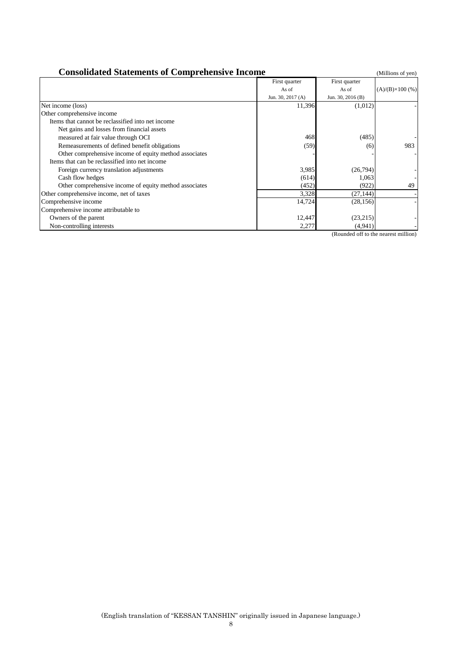| <b>Consolidated Statements of Comprehensive Income</b> |                   |                   | (Millions of yen)       |
|--------------------------------------------------------|-------------------|-------------------|-------------------------|
|                                                        | First quarter     | First quarter     |                         |
|                                                        | As of             | As of             | $(A)/(B)\times 100$ (%) |
|                                                        | Jun. 30, 2017 (A) | Jun. 30, 2016 (B) |                         |
| Net income (loss)                                      | 11,396            | (1,012)           |                         |
| Other comprehensive income                             |                   |                   |                         |
| Items that cannot be reclassified into net income      |                   |                   |                         |
| Net gains and losses from financial assets             |                   |                   |                         |
| measured at fair value through OCI                     | 468               | (485)             |                         |
| Remeasurements of defined benefit obligations          | (59)              | (6)               | 983                     |
| Other comprehensive income of equity method associates |                   |                   |                         |
| Items that can be reclassified into net income         |                   |                   |                         |
| Foreign currency translation adjustments               | 3,985             | (26, 794)         |                         |
| Cash flow hedges                                       | (614)             | 1,063             |                         |
| Other comprehensive income of equity method associates | (452)             | (922)             | 49                      |
| Other comprehensive income, net of taxes               | 3,328             | (27, 144)         |                         |
| Comprehensive income                                   | 14,724            | (28, 156)         |                         |
| Comprehensive income attributable to                   |                   |                   |                         |
| Owners of the parent                                   | 12,447            | (23,215)          |                         |
| Non-controlling interests                              | 2,277             | (4,941)           |                         |

(Rounded off to the nearest million)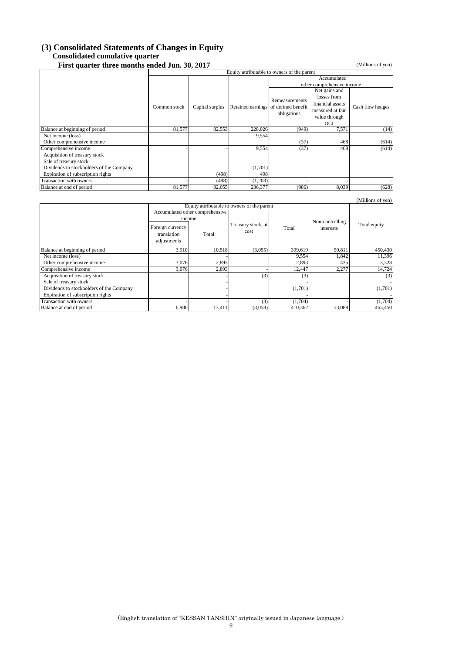#### **(3) Consolidated Statements of Changes in Equity Consolidated cumulative quarter**

**First quarter three months ended Jun. 30, 2017** (Millions of yen)

|                                          | Equity attributable to owners of the parent |                 |         |                                                     |                  |                  |
|------------------------------------------|---------------------------------------------|-----------------|---------|-----------------------------------------------------|------------------|------------------|
|                                          |                                             |                 |         |                                                     | Accumulated      |                  |
|                                          |                                             |                 |         | other comprehensive income                          |                  |                  |
|                                          |                                             |                 |         |                                                     | Net gains and    |                  |
|                                          |                                             |                 |         | Remeasurements                                      | losses from      |                  |
|                                          | Common stock                                | Capital surplus |         |                                                     | financial assets |                  |
|                                          |                                             |                 |         | Retained earnings of defined benefit<br>obligations | measured at fair | Cash flow hedges |
|                                          |                                             |                 |         |                                                     | value through    |                  |
|                                          |                                             |                 |         |                                                     | OCI              |                  |
| Balance at beginning of period           | 81,577                                      | 82,553          | 228,026 | (949)                                               | 7,571            | (14)             |
| Net income (loss)                        |                                             |                 | 9,554   |                                                     |                  |                  |
| Other comprehensive income               |                                             |                 |         | (37)                                                | 468              | (614)            |
| Comprehensive income                     |                                             |                 | 9,554   | (37)                                                | 468              | (614)            |
| Acquisition of treasury stock            |                                             |                 |         |                                                     |                  |                  |
| Sale of treasury stock                   |                                             |                 |         |                                                     |                  |                  |
| Dividends to stockholders of the Company |                                             |                 | (1,701) |                                                     |                  |                  |
| Expiration of subscription rights        |                                             | (498)           | 498     |                                                     |                  |                  |
| Transaction with owners                  |                                             | (498)           | (1,203) |                                                     |                  |                  |
| Balance at end of period                 | 81,577                                      | 82,055          | 236,377 | (986)                                               | 8,039            | (628)            |

|                                          |                                                |                                             |                            |         |                 | (Millions of yen) |
|------------------------------------------|------------------------------------------------|---------------------------------------------|----------------------------|---------|-----------------|-------------------|
|                                          |                                                | Equity attributable to owners of the parent |                            |         |                 |                   |
|                                          |                                                | Accumulated other comprehensive             |                            |         |                 |                   |
|                                          |                                                | income                                      |                            |         | Non-controlling |                   |
|                                          | Foreign currency<br>translation<br>adjustments | Total                                       | Treasury stock, at<br>cost | Total   | interests       | Total equity      |
| Balance at beginning of period           | 3,910                                          | 10,518                                      | (3,055)                    | 399,619 | 50.811          | 450,430           |
| Net income (loss)                        |                                                |                                             |                            | 9,554   | 1,842           | 11,396            |
| Other comprehensive income               | 3,076                                          | 2,893                                       |                            | 2,893   | 435             | 3,328             |
| Comprehensive income                     | 3,076                                          | 2,893                                       |                            | 12,447  | 2,277           | 14,724            |
| Acquisition of treasury stock            |                                                |                                             | (3)                        | (3)     |                 | (3)               |
| Sale of treasury stock                   |                                                |                                             |                            |         |                 | ٠                 |
| Dividends to stockholders of the Company |                                                |                                             |                            | (1,701) |                 | (1,701)           |
| Expiration of subscription rights        |                                                |                                             |                            |         |                 |                   |
| Transaction with owners                  |                                                |                                             | (3)                        | (1,704) |                 | (1,704)           |
| Balance at end of period                 | 6,986                                          | 13,411                                      | (3,058)                    | 410,362 | 53,088          | 463,450           |

(English translation of "KESSAN TANSHIN" originally issued in Japanese language.)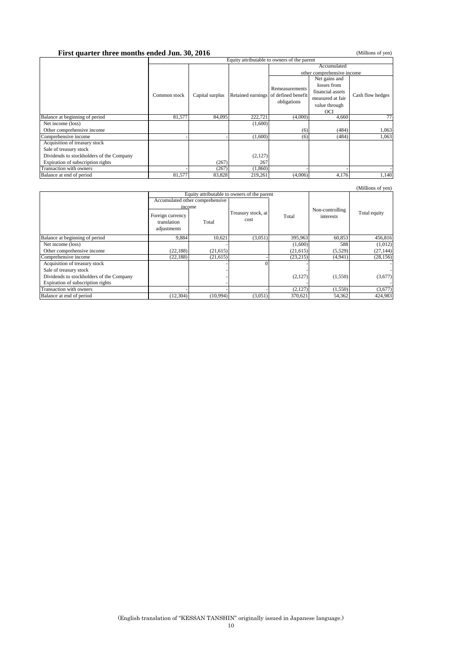## **First quarter three months ended Jun. 30, 2016** Equity attributable to owners of the parent (Millions of yen)

|                                          | Equity attributable to owners of the parent |                 |                                      |                |                            |                  |  |  |
|------------------------------------------|---------------------------------------------|-----------------|--------------------------------------|----------------|----------------------------|------------------|--|--|
|                                          |                                             |                 |                                      | Accumulated    |                            |                  |  |  |
|                                          |                                             |                 |                                      |                | other comprehensive income |                  |  |  |
|                                          |                                             |                 |                                      |                | Net gains and              |                  |  |  |
|                                          |                                             |                 |                                      |                | losses from                |                  |  |  |
|                                          |                                             |                 |                                      | Remeasurements | financial assets           |                  |  |  |
|                                          | Common stock                                | Capital surplus | Retained earnings of defined benefit | obligations    | measured at fair           | Cash flow hedges |  |  |
|                                          |                                             |                 |                                      |                | value through              |                  |  |  |
|                                          |                                             |                 |                                      |                | OCI                        |                  |  |  |
| Balance at beginning of period           | 81,577                                      | 84,095          | 222,721                              | (4,000)        | 4,660                      | 77               |  |  |
| Net income (loss)                        |                                             |                 | (1,600)                              |                |                            |                  |  |  |
| Other comprehensive income               |                                             |                 |                                      | (6)            | (484)                      | 1,063            |  |  |
| Comprehensive income                     |                                             |                 | (1,600)                              | (6)            | (484)                      | 1,063            |  |  |
| Acquisition of treasury stock            |                                             |                 |                                      |                |                            |                  |  |  |
| Sale of treasury stock                   |                                             |                 |                                      |                |                            |                  |  |  |
| Dividends to stockholders of the Company |                                             |                 | (2,127)                              |                |                            |                  |  |  |
| Expiration of subscription rights        |                                             | (267)           | 267                                  |                |                            |                  |  |  |
| Transaction with owners                  |                                             | (267)           | (1,860)                              |                |                            |                  |  |  |
| Balance at end of period                 | 81,577                                      | 83,828          | 219,261                              | (4,006)        | 4,176                      | 1,140            |  |  |

|                                          |                                                |                                             |                            |           |                              | (Millions of yen) |
|------------------------------------------|------------------------------------------------|---------------------------------------------|----------------------------|-----------|------------------------------|-------------------|
|                                          |                                                | Equity attributable to owners of the parent |                            |           |                              |                   |
|                                          |                                                | Accumulated other comprehensive             |                            |           |                              |                   |
|                                          | Foreign currency<br>translation<br>adjustments | income<br>Total                             | Treasury stock, at<br>cost | Total     | Non-controlling<br>interests | Total equity      |
| Balance at beginning of period           | 9,884                                          | 10.621                                      | (3,051)                    | 395,963   | 60,853                       | 456,816           |
| Net income (loss)                        |                                                |                                             |                            | (1,600)   | 588                          | (1,012)           |
| Other comprehensive income               | (22, 188)                                      | (21,615)                                    |                            | (21,615)  | (5,529)                      | (27, 144)         |
| Comprehensive income                     | (22, 188)                                      | (21, 615)                                   |                            | (23, 215) | (4,941)                      | (28, 156)         |
| Acquisition of treasury stock            |                                                |                                             |                            |           |                              |                   |
| Sale of treasury stock                   |                                                |                                             |                            |           |                              |                   |
| Dividends to stockholders of the Company |                                                |                                             |                            | (2,127)   | (1,550)                      | (3,677)           |
| Expiration of subscription rights        |                                                |                                             |                            |           |                              |                   |
| Transaction with owners                  |                                                |                                             |                            | (2,127)   | (1,550)                      | (3,677)           |
| Balance at end of period                 | (12, 304)                                      | (10,994)                                    | (3,051)                    | 370,621   | 54,362                       | 424,983           |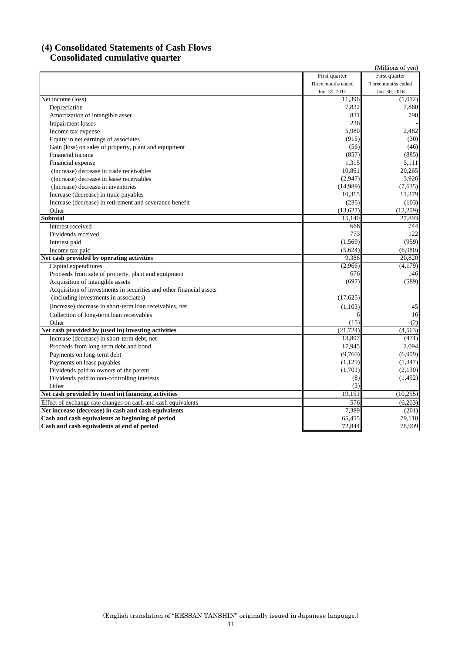### **(4) Consolidated Statements of Cash Flows Consolidated cumulative quarter**

|                                                                     |                    | (Millions of yen)  |
|---------------------------------------------------------------------|--------------------|--------------------|
|                                                                     | First quarter      | First quarter      |
|                                                                     | Three months ended | Three months ended |
|                                                                     | Jun. 30, 2017      | Jun. 30, 2016      |
| Net income (loss)                                                   | 11,396             | (1,012)            |
| Depreciation                                                        | 7,832              | 7,860              |
| Amortization of intangible asset                                    | 831                | 790                |
| <b>Impairment</b> losses                                            | 236                |                    |
| Income tax expense                                                  | 5,980              | 2,482              |
| Equity in net earnings of associates                                | (915)              | (30)               |
| Gain (loss) on sales of property, plant and equipment               | (56)               | (46)               |
| Financial income                                                    | (857)              | (885)              |
| Financial expense                                                   | 1,315              | 3,111              |
| (Increase) decrease in trade receivables                            | 10.861             | 20,265             |
| (Increase) decrease in lease receivables                            | (2,947)            | 3,926              |
| (Increase) decrease in inventories                                  | (14,989)           | (7,635)            |
| Increase (decrease) in trade payables                               | 10,315             | 11,379             |
| Increase (decrease) in retirement and severance benefit             | (235)              | (103)              |
| Other                                                               | (13, 627)          | (12,209)           |
| <b>Subtotal</b>                                                     | 15,140             | 27,893             |
| Interest received                                                   | 666                | 744                |
| Dividends received                                                  | 773                | 122                |
| Interest paid                                                       | (1, 569)           | (959)              |
| Income tax paid                                                     | (5,624)            | (6,980)            |
| Net cash provided by operating activities                           | 9,386              | 20.820             |
| Capital expenditures                                                | (2,966)            | (4,179)            |
| Proceeds from sale of property, plant and equipment                 | 676                | 146                |
| Acquisition of intangible assets                                    | (697)              | (589)              |
| Acquisition of investments in securities and other financial assets |                    |                    |
| (including investments in associates)                               | (17,625)           |                    |
| (Increase) decrease in short-term loan receivables, net             | (1, 103)           | 45                 |
| Collection of long-term loan receivables                            | 6                  | 16                 |
| Other                                                               | (15)               | (2)                |
| Net cash provided by (used in) investing activities                 | (21, 724)          | (4,563)            |
| Increase (decrease) in short-term debt, net                         | 13,807             | (471)              |
| Proceeds from long-term debt and bond                               | 17,945             | 2.094              |
| Payments on long-term debt                                          | (9,760)            | (6,909)            |
| Payments on lease payables                                          | (1, 129)           | (1, 347)           |
| Dividends paid to owners of the parent                              | (1,701)            | (2,130)            |
| Dividends paid to non-controlling interests                         | (8)                | (1, 492)           |
| Other                                                               | (3)                |                    |
| Net cash provided by (used in) financing activities                 | 19,151             | (10, 255)          |
| Effect of exchange rate changes on cash and cash equivalents        | 576                | (6,203)            |
| Net increase (decrease) in cash and cash equivalents                | 7,389              | (201)              |
| Cash and cash equivalents at beginning of period                    | 65,455             | 79,110             |
| Cash and cash equivalents at end of period                          | 72,844             | 78,909             |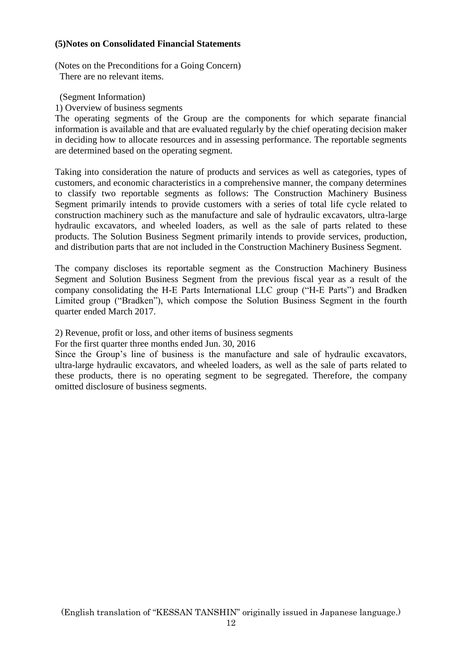#### **(5)Notes on Consolidated Financial Statements**

(Notes on the Preconditions for a Going Concern) There are no relevant items.

(Segment Information)

1) Overview of business segments

The operating segments of the Group are the components for which separate financial information is available and that are evaluated regularly by the chief operating decision maker in deciding how to allocate resources and in assessing performance. The reportable segments are determined based on the operating segment.

Taking into consideration the nature of products and services as well as categories, types of customers, and economic characteristics in a comprehensive manner, the company determines to classify two reportable segments as follows: The Construction Machinery Business Segment primarily intends to provide customers with a series of total life cycle related to construction machinery such as the manufacture and sale of hydraulic excavators, ultra-large hydraulic excavators, and wheeled loaders, as well as the sale of parts related to these products. The Solution Business Segment primarily intends to provide services, production, and distribution parts that are not included in the Construction Machinery Business Segment.

The company discloses its reportable segment as the Construction Machinery Business Segment and Solution Business Segment from the previous fiscal year as a result of the company consolidating the H-E Parts International LLC group ("H-E Parts") and Bradken Limited group ("Bradken"), which compose the Solution Business Segment in the fourth quarter ended March 2017.

2) Revenue, profit or loss, and other items of business segments

For the first quarter three months ended Jun. 30, 2016

Since the Group's line of business is the manufacture and sale of hydraulic excavators, ultra-large hydraulic excavators, and wheeled loaders, as well as the sale of parts related to these products, there is no operating segment to be segregated. Therefore, the company omitted disclosure of business segments.